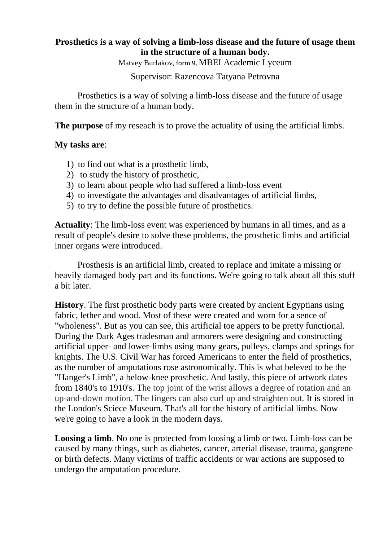## **Prosthetics is a way of solving a limb-loss disease and the future of usage them in the structure of a human body.**

Matvey Burlakov, form 9, MBEI Academic Lyceum

## Supervisor: Razencova Tatyana Petrovna

Prosthetics is a way of solving a limb-loss disease and the future of usage them in the structure of a human body.

**The purpose** of my reseach is to prove the actuality of using the artificial limbs.

### **My tasks are**:

- 1) to find out what is a prosthetic limb,
- 2) to study the history of prosthetic,
- 3) to learn about people who had suffered a limb-loss event
- 4) to investigate the advantages and disadvantages of artificial limbs,
- 5) to try to define the possible future of prosthetics.

**Actuality**: The limb-loss event was experienced by humans in all times, and as a result of people's desire to solve these problems, the prosthetic limbs and artificial inner organs were introduced.

Prosthesis is an artificial limb, created to replace and imitate a missing or heavily damaged body part and its functions. We're going to talk about all this stuff a bit later.

**History**. The first prosthetic body parts were created by ancient Egyptians using fabric, lether and wood. Most of these were created and worn for a sence of "wholeness". But as you can see, this artificial toe appers to be pretty functional. During the Dark Ages tradesman and armorers were designing and constructing artificial upper- and lower-limbs using many gears, pulleys, clamps and springs for knights. The U.S. Civil War has forced Americans to enter the field of prosthetics, as the number of amputations rose astronomically. This is what beleved to be the "Hanger's Limb", a below-knee prosthetic. And lastly, this piece of artwork dates from 1840's to 1910's. The top joint of the wrist allows a degree of rotation and an up-and-down motion. The fingers can also curl up and straighten out. It is stored in the London's Sciece Museum. That's all for the history of artificial limbs. Now we're going to have a look in the modern days.

**Loosing a limb**. No one is protected from loosing a limb or two. Limb-loss can be caused by many things, such as diabetes, cancer, arterial disease, trauma, gangrene or birth defects. Many victims of traffic accidents or war actions are supposed to undergo the amputation procedure.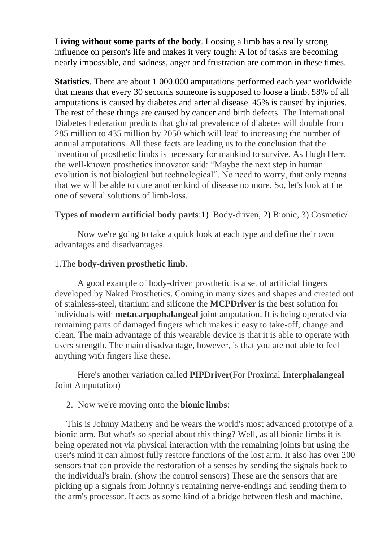**Living without some parts of the body**. Loosing a limb has a really strong influence on person's life and makes it very tough: A lot of tasks are becoming nearly impossible, and sadness, anger and frustration are common in these times.

**Statistics**. There are about 1.000.000 amputations performed each year worldwide that means that every 30 seconds someone is supposed to loose a limb. 58% of all amputations is caused by diabetes and arterial disease. 45% is caused by injuries. The rest of these things are caused by cancer and birth defects. The International Diabetes Federation predicts that global prevalence of diabetes will double from 285 million to 435 million by 2050 which will lead to increasing the number of annual amputations. All these facts are leading us to the conclusion that the invention of prosthetic limbs is necessary for mankind to survive. As Hugh Herr, the well-known prosthetics innovator said: "Maybe the next step in human evolution is not biological but technological". No need to worry, that only means that we will be able to cure another kind of disease no more. So, let's look at the one of several solutions of limb-loss.

## **Types of modern artificial body parts**:1) Body-driven, 2) Bionic, 3) Cosmetic/

Now we're going to take a quick look at each type and define their own advantages and disadvantages.

#### 1.The **body-driven prosthetic limb**.

A good example of body-driven prosthetic is a set of artificial fingers developed by Naked Prosthetics. Coming in many sizes and shapes and created out of stainless-steel, titanium and silicone the **MCPDriver** is the best solution for individuals with **metacarpophalangeal** joint amputation. It is being operated via remaining parts of damaged fingers which makes it easy to take-off, change and clean. The main advantage of this wearable device is that it is able to operate with users strength. The main disadvantage, however, is that you are not able to feel anything with fingers like these.

Here's another variation called **PIPDriver**(For Proximal **Interphalangeal** Joint Amputation)

#### 2. Now we're moving onto the **bionic limbs**:

This is Johnny Matheny and he wears the world's most advanced prototype of a bionic arm. But what's so special about this thing? Well, as all bionic limbs it is being operated not via physical interaction with the remaining joints but using the user's mind it can almost fully restore functions of the lost arm. It also has over 200 sensors that can provide the restoration of a senses by sending the signals back to the individual's brain. (show the control sensors) These are the sensors that are picking up a signals from Johnny's remaining nerve-endings and sending them to the arm's processor. It acts as some kind of a bridge between flesh and machine.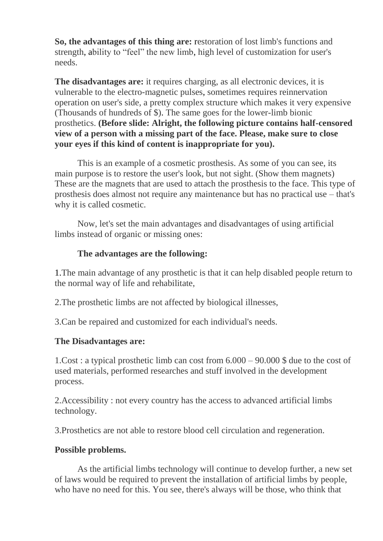**So, the advantages of this thing are:** restoration of lost limb's functions and strength, ability to "feel" the new limb, high level of customization for user's needs.

**The disadvantages are:** it requires charging, as all electronic devices, it is vulnerable to the electro-magnetic pulses, sometimes requires reinnervation operation on user's side, a pretty complex structure which makes it very expensive (Thousands of hundreds of \$). The same goes for the lower-limb bionic prosthetics. **(Before slide: Alright, the following picture contains half-censored view of a person with a missing part of the face. Please, make sure to close your eyes if this kind of content is inappropriate for you).**

This is an example of a cosmetic prosthesis. As some of you can see, its main purpose is to restore the user's look, but not sight. (Show them magnets) These are the magnets that are used to attach the prosthesis to the face. This type of prosthesis does almost not require any maintenance but has no practical use – that's why it is called cosmetic.

Now, let's set the main advantages and disadvantages of using artificial limbs instead of organic or missing ones:

## **The advantages are the following:**

1.The main advantage of any prosthetic is that it can help disabled people return to the normal way of life and rehabilitate,

2.The prosthetic limbs are not affected by biological illnesses,

3.Can be repaired and customized for each individual's needs.

## **The Disadvantages are:**

1.Cost : a typical prosthetic limb can cost from 6.000 – 90.000 \$ due to the cost of used materials, performed researches and stuff involved in the development process.

2.Accessibility : not every country has the access to advanced artificial limbs technology.

3.Prosthetics are not able to restore blood cell circulation and regeneration.

## **Possible problems.**

As the artificial limbs technology will continue to develop further, a new set of laws would be required to prevent the installation of artificial limbs by people, who have no need for this. You see, there's always will be those, who think that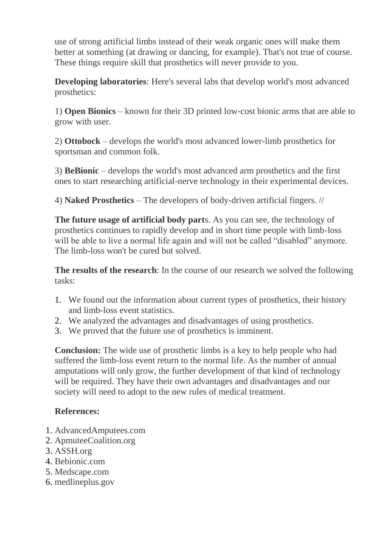use of strong artificial limbs instead of their weak organic ones will make them better at something (at drawing or dancing, for example). That's not true of course. These things require skill that prosthetics will never provide to you.

**Developing laboratories**: Here's several labs that develop world's most advanced prosthetics:

1) **Open Bionics** – known for their 3D printed low-cost bionic arms that are able to grow with user.

2) **Ottobock** – develops the world's most advanced lower-limb prosthetics for sportsman and common folk.

3) **BeBionic** – develops the world's most advanced arm prosthetics and the first ones to start researching artificial-nerve technology in their experimental devices.

4) **Naked Prosthetics** – The developers of body-driven artificial fingers. //

**The future usage of artificial body part**s. As you can see, the technology of prosthetics continues to rapidly develop and in short time people with limb-loss will be able to live a normal life again and will not be called "disabled" anymore. The limb-loss won't be cured but solved.

**The results of the research**: In the course of our research we solved the following tasks:

- 1. We found out the information about current types of prosthetics, their history and limb-loss event statistics.
- 2. We analyzed the advantages and disadvantages of using prosthetics.
- 3. We proved that the future use of prosthetics is imminent.

**Conclusion:** The wide use of prosthetic limbs is a key to help people who had suffered the limb-loss event return to the normal life. As the number of annual amputations will only grow, the further development of that kind of technology will be required. They have their own advantages and disadvantages and our society will need to adopt to the new rules of medical treatment.

# **References:**

- 1. AdvancedAmputees.com
- 2. ApmuteeCoalition.org
- 3. ASSH.org
- 4. Bebionic.com
- 5. Medscape.com
- 6. medlineplus.gov